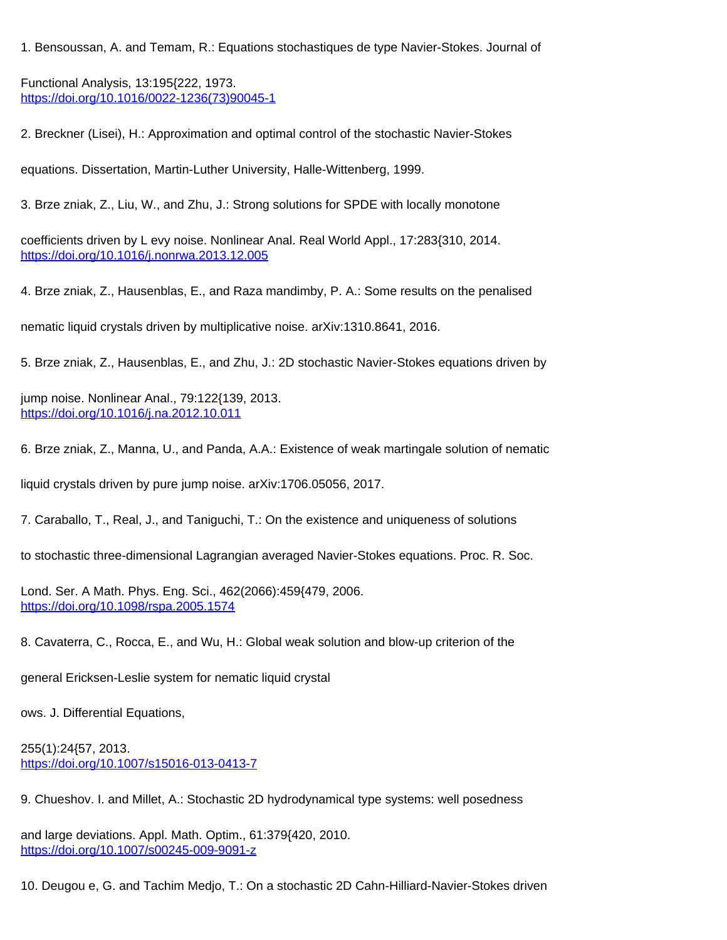1. Bensoussan, A. and Temam, R.: Equations stochastiques de type Navier-Stokes. Journal of

Functional Analysis, 13:195{222, 1973. [https://doi.org/10.1016/0022-1236\(73\)90045-1](https://doi.org/10.1016/0022-1236(73)90045-1)

2. Breckner (Lisei), H.: Approximation and optimal control of the stochastic Navier-Stokes

equations. Dissertation, Martin-Luther University, Halle-Wittenberg, 1999.

3. Brze zniak, Z., Liu, W., and Zhu, J.: Strong solutions for SPDE with locally monotone

coefficients driven by L evy noise. Nonlinear Anal. Real World Appl., 17:283{310, 2014. <https://doi.org/10.1016/j.nonrwa.2013.12.005>

4. Brze zniak, Z., Hausenblas, E., and Raza mandimby, P. A.: Some results on the penalised

nematic liquid crystals driven by multiplicative noise. arXiv:1310.8641, 2016.

5. Brze zniak, Z., Hausenblas, E., and Zhu, J.: 2D stochastic Navier-Stokes equations driven by

jump noise. Nonlinear Anal., 79:122{139, 2013. <https://doi.org/10.1016/j.na.2012.10.011>

6. Brze zniak, Z., Manna, U., and Panda, A.A.: Existence of weak martingale solution of nematic

liquid crystals driven by pure jump noise. arXiv:1706.05056, 2017.

7. Caraballo, T., Real, J., and Taniguchi, T.: On the existence and uniqueness of solutions

to stochastic three-dimensional Lagrangian averaged Navier-Stokes equations. Proc. R. Soc.

Lond. Ser. A Math. Phys. Eng. Sci., 462(2066):459{479, 2006. <https://doi.org/10.1098/rspa.2005.1574>

8. Cavaterra, C., Rocca, E., and Wu, H.: Global weak solution and blow-up criterion of the

general Ericksen-Leslie system for nematic liquid crystal

ows. J. Differential Equations,

255(1):24{57, 2013. <https://doi.org/10.1007/s15016-013-0413-7>

9. Chueshov. I. and Millet, A.: Stochastic 2D hydrodynamical type systems: well posedness

and large deviations. Appl. Math. Optim., 61:379{420, 2010. <https://doi.org/10.1007/s00245-009-9091-z>

10. Deugou e, G. and Tachim Medjo, T.: On a stochastic 2D Cahn-Hilliard-Navier-Stokes driven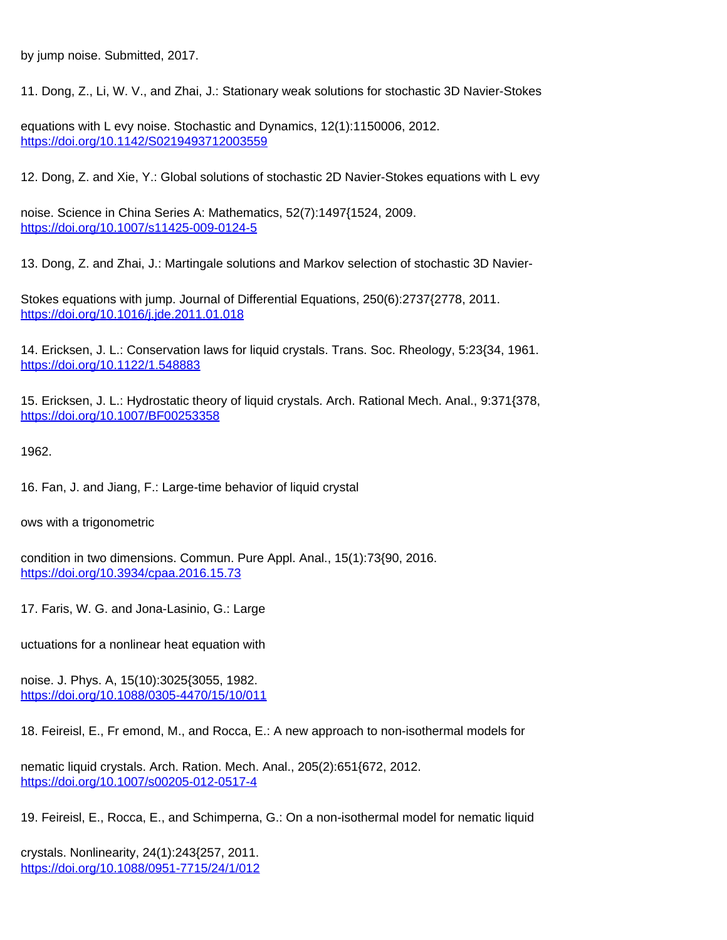by jump noise. Submitted, 2017.

11. Dong, Z., Li, W. V., and Zhai, J.: Stationary weak solutions for stochastic 3D Navier-Stokes

equations with L evy noise. Stochastic and Dynamics, 12(1):1150006, 2012. <https://doi.org/10.1142/S0219493712003559>

12. Dong, Z. and Xie, Y.: Global solutions of stochastic 2D Navier-Stokes equations with L evy

noise. Science in China Series A: Mathematics, 52(7):1497{1524, 2009. <https://doi.org/10.1007/s11425-009-0124-5>

13. Dong, Z. and Zhai, J.: Martingale solutions and Markov selection of stochastic 3D Navier-

Stokes equations with jump. Journal of Differential Equations, 250(6):2737{2778, 2011. <https://doi.org/10.1016/j.jde.2011.01.018>

14. Ericksen, J. L.: Conservation laws for liquid crystals. Trans. Soc. Rheology, 5:23{34, 1961. <https://doi.org/10.1122/1.548883>

15. Ericksen, J. L.: Hydrostatic theory of liquid crystals. Arch. Rational Mech. Anal., 9:371{378, <https://doi.org/10.1007/BF00253358>

1962.

16. Fan, J. and Jiang, F.: Large-time behavior of liquid crystal

ows with a trigonometric

condition in two dimensions. Commun. Pure Appl. Anal., 15(1):73{90, 2016. <https://doi.org/10.3934/cpaa.2016.15.73>

17. Faris, W. G. and Jona-Lasinio, G.: Large

uctuations for a nonlinear heat equation with

noise. J. Phys. A, 15(10):3025{3055, 1982. <https://doi.org/10.1088/0305-4470/15/10/011>

18. Feireisl, E., Fr emond, M., and Rocca, E.: A new approach to non-isothermal models for

nematic liquid crystals. Arch. Ration. Mech. Anal., 205(2):651{672, 2012. <https://doi.org/10.1007/s00205-012-0517-4>

19. Feireisl, E., Rocca, E., and Schimperna, G.: On a non-isothermal model for nematic liquid

crystals. Nonlinearity, 24(1):243{257, 2011. <https://doi.org/10.1088/0951-7715/24/1/012>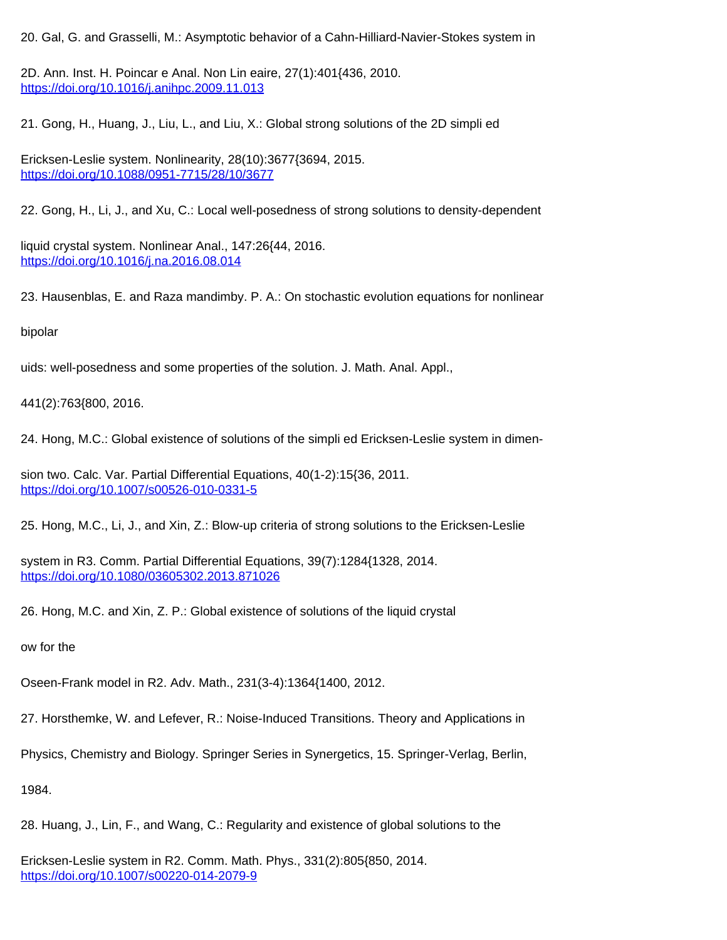20. Gal, G. and Grasselli, M.: Asymptotic behavior of a Cahn-Hilliard-Navier-Stokes system in

2D. Ann. Inst. H. Poincar e Anal. Non Lin eaire, 27(1):401{436, 2010. <https://doi.org/10.1016/j.anihpc.2009.11.013>

21. Gong, H., Huang, J., Liu, L., and Liu, X.: Global strong solutions of the 2D simpli ed

Ericksen-Leslie system. Nonlinearity, 28(10):3677{3694, 2015. <https://doi.org/10.1088/0951-7715/28/10/3677>

22. Gong, H., Li, J., and Xu, C.: Local well-posedness of strong solutions to density-dependent

liquid crystal system. Nonlinear Anal., 147:26{44, 2016. <https://doi.org/10.1016/j.na.2016.08.014>

23. Hausenblas, E. and Raza mandimby. P. A.: On stochastic evolution equations for nonlinear

bipolar

uids: well-posedness and some properties of the solution. J. Math. Anal. Appl.,

441(2):763{800, 2016.

24. Hong, M.C.: Global existence of solutions of the simpli ed Ericksen-Leslie system in dimen-

sion two. Calc. Var. Partial Differential Equations, 40(1-2):15{36, 2011. <https://doi.org/10.1007/s00526-010-0331-5>

25. Hong, M.C., Li, J., and Xin, Z.: Blow-up criteria of strong solutions to the Ericksen-Leslie

system in R3. Comm. Partial Differential Equations, 39(7):1284{1328, 2014. <https://doi.org/10.1080/03605302.2013.871026>

26. Hong, M.C. and Xin, Z. P.: Global existence of solutions of the liquid crystal

ow for the

Oseen-Frank model in R2. Adv. Math., 231(3-4):1364{1400, 2012.

27. Horsthemke, W. and Lefever, R.: Noise-Induced Transitions. Theory and Applications in

Physics, Chemistry and Biology. Springer Series in Synergetics, 15. Springer-Verlag, Berlin,

1984.

28. Huang, J., Lin, F., and Wang, C.: Regularity and existence of global solutions to the

Ericksen-Leslie system in R2. Comm. Math. Phys., 331(2):805{850, 2014. <https://doi.org/10.1007/s00220-014-2079-9>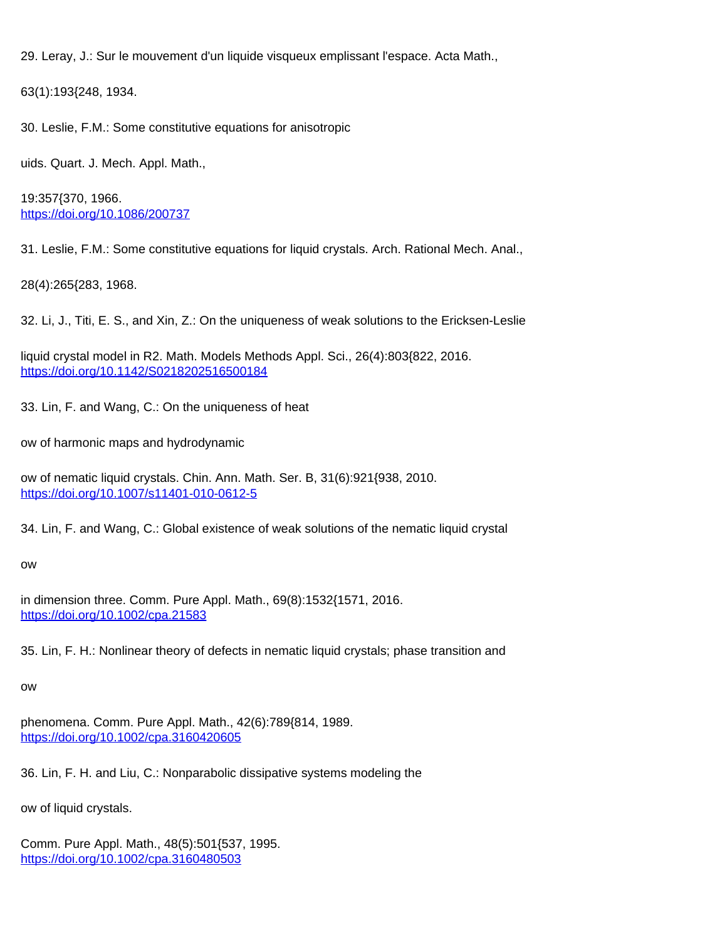29. Leray, J.: Sur le mouvement d'un liquide visqueux emplissant l'espace. Acta Math.,

63(1):193{248, 1934.

30. Leslie, F.M.: Some constitutive equations for anisotropic

uids. Quart. J. Mech. Appl. Math.,

19:357{370, 1966. <https://doi.org/10.1086/200737>

31. Leslie, F.M.: Some constitutive equations for liquid crystals. Arch. Rational Mech. Anal.,

28(4):265{283, 1968.

32. Li, J., Titi, E. S., and Xin, Z.: On the uniqueness of weak solutions to the Ericksen-Leslie

liquid crystal model in R2. Math. Models Methods Appl. Sci., 26(4):803{822, 2016. <https://doi.org/10.1142/S0218202516500184>

33. Lin, F. and Wang, C.: On the uniqueness of heat

ow of harmonic maps and hydrodynamic

ow of nematic liquid crystals. Chin. Ann. Math. Ser. B, 31(6):921{938, 2010. <https://doi.org/10.1007/s11401-010-0612-5>

34. Lin, F. and Wang, C.: Global existence of weak solutions of the nematic liquid crystal

ow

in dimension three. Comm. Pure Appl. Math., 69(8):1532{1571, 2016. <https://doi.org/10.1002/cpa.21583>

35. Lin, F. H.: Nonlinear theory of defects in nematic liquid crystals; phase transition and

ow

phenomena. Comm. Pure Appl. Math., 42(6):789{814, 1989. <https://doi.org/10.1002/cpa.3160420605>

36. Lin, F. H. and Liu, C.: Nonparabolic dissipative systems modeling the

ow of liquid crystals.

Comm. Pure Appl. Math., 48(5):501{537, 1995. <https://doi.org/10.1002/cpa.3160480503>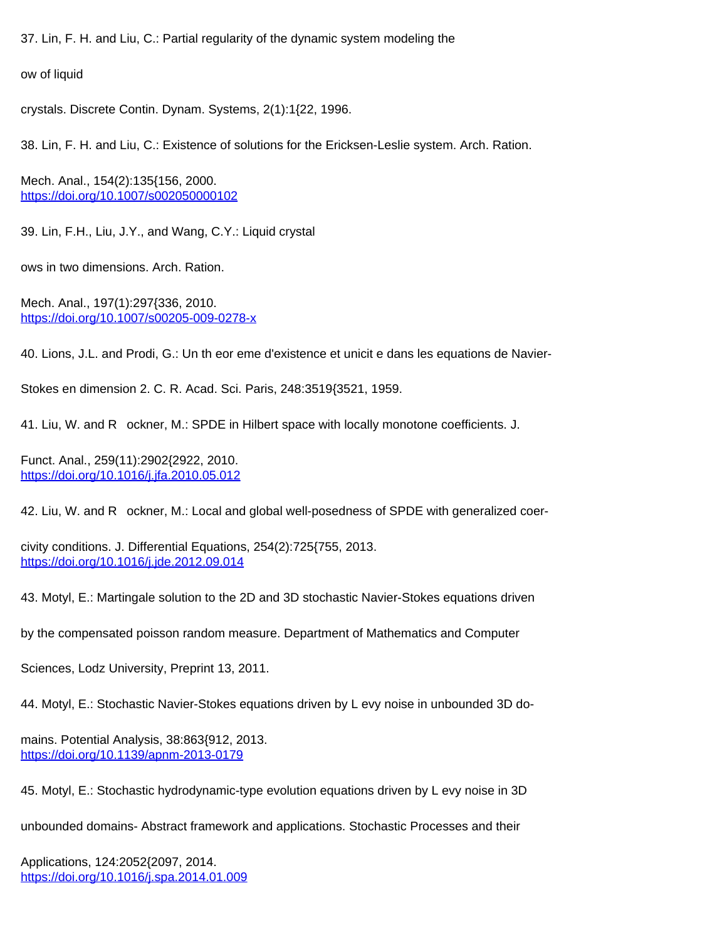37. Lin, F. H. and Liu, C.: Partial regularity of the dynamic system modeling the

ow of liquid

crystals. Discrete Contin. Dynam. Systems, 2(1):1{22, 1996.

38. Lin, F. H. and Liu, C.: Existence of solutions for the Ericksen-Leslie system. Arch. Ration.

Mech. Anal., 154(2):135{156, 2000. <https://doi.org/10.1007/s002050000102>

39. Lin, F.H., Liu, J.Y., and Wang, C.Y.: Liquid crystal

ows in two dimensions. Arch. Ration.

Mech. Anal., 197(1):297{336, 2010. <https://doi.org/10.1007/s00205-009-0278-x>

40. Lions, J.L. and Prodi, G.: Un th eor eme d'existence et unicit e dans les equations de Navier-

Stokes en dimension 2. C. R. Acad. Sci. Paris, 248:3519{3521, 1959.

41. Liu, W. and R ockner, M.: SPDE in Hilbert space with locally monotone coefficients. J.

Funct. Anal., 259(11):2902{2922, 2010. <https://doi.org/10.1016/j.jfa.2010.05.012>

42. Liu, W. and R ockner, M.: Local and global well-posedness of SPDE with generalized coer-

civity conditions. J. Differential Equations, 254(2):725{755, 2013. <https://doi.org/10.1016/j.jde.2012.09.014>

43. Motyl, E.: Martingale solution to the 2D and 3D stochastic Navier-Stokes equations driven

by the compensated poisson random measure. Department of Mathematics and Computer

Sciences, Lodz University, Preprint 13, 2011.

44. Motyl, E.: Stochastic Navier-Stokes equations driven by L evy noise in unbounded 3D do-

mains. Potential Analysis, 38:863{912, 2013. <https://doi.org/10.1139/apnm-2013-0179>

45. Motyl, E.: Stochastic hydrodynamic-type evolution equations driven by L evy noise in 3D

unbounded domains- Abstract framework and applications. Stochastic Processes and their

Applications, 124:2052{2097, 2014. <https://doi.org/10.1016/j.spa.2014.01.009>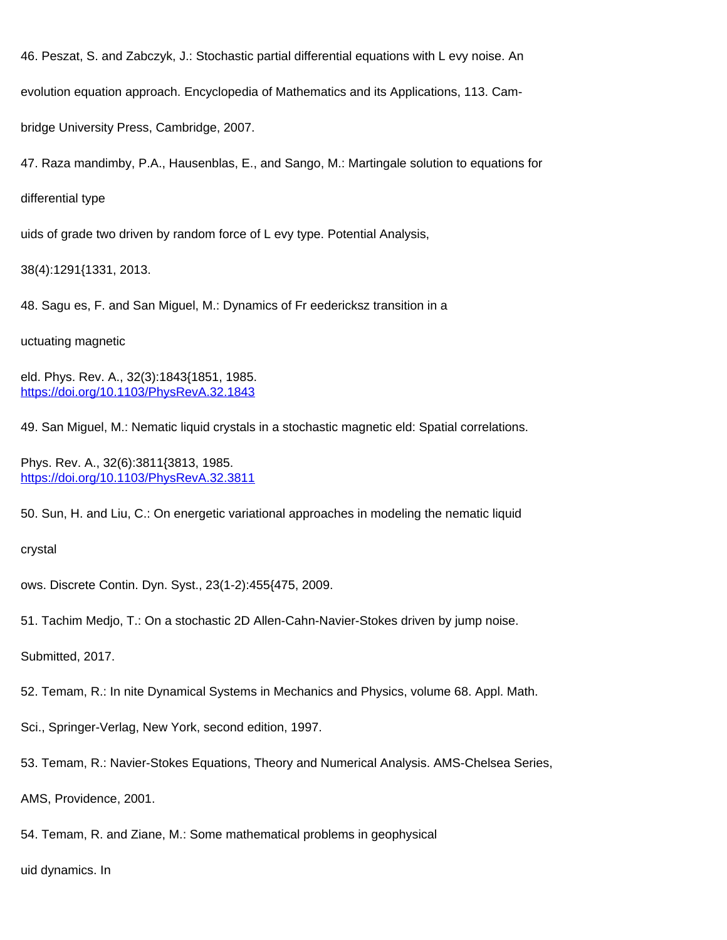46. Peszat, S. and Zabczyk, J.: Stochastic partial differential equations with L evy noise. An

evolution equation approach. Encyclopedia of Mathematics and its Applications, 113. Cam-

bridge University Press, Cambridge, 2007.

47. Raza mandimby, P.A., Hausenblas, E., and Sango, M.: Martingale solution to equations for

differential type

uids of grade two driven by random force of L evy type. Potential Analysis,

38(4):1291{1331, 2013.

48. Sagu es, F. and San Miguel, M.: Dynamics of Fr eedericksz transition in a

uctuating magnetic

eld. Phys. Rev. A., 32(3):1843{1851, 1985. <https://doi.org/10.1103/PhysRevA.32.1843>

49. San Miguel, M.: Nematic liquid crystals in a stochastic magnetic eld: Spatial correlations.

Phys. Rev. A., 32(6):3811{3813, 1985. <https://doi.org/10.1103/PhysRevA.32.3811>

50. Sun, H. and Liu, C.: On energetic variational approaches in modeling the nematic liquid

crystal

ows. Discrete Contin. Dyn. Syst., 23(1-2):455{475, 2009.

51. Tachim Medjo, T.: On a stochastic 2D Allen-Cahn-Navier-Stokes driven by jump noise.

Submitted, 2017.

52. Temam, R.: In nite Dynamical Systems in Mechanics and Physics, volume 68. Appl. Math.

Sci., Springer-Verlag, New York, second edition, 1997.

53. Temam, R.: Navier-Stokes Equations, Theory and Numerical Analysis. AMS-Chelsea Series,

AMS, Providence, 2001.

54. Temam, R. and Ziane, M.: Some mathematical problems in geophysical

uid dynamics. In